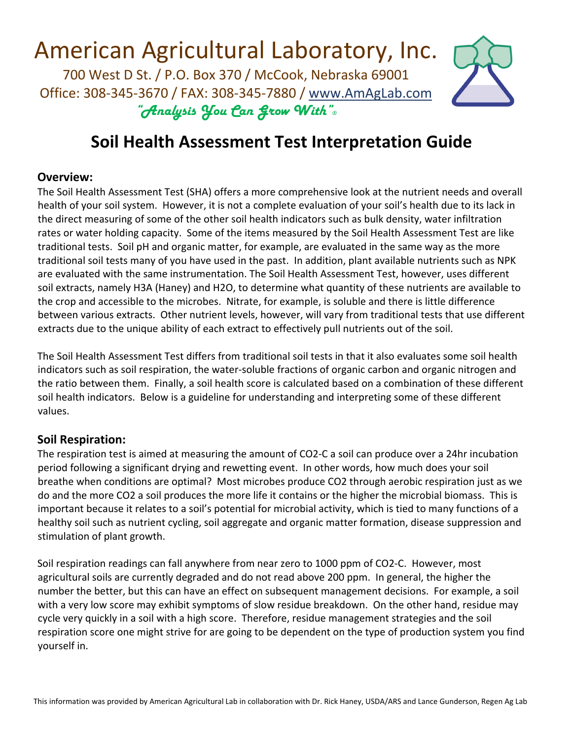### **Soil Health Assessment Test Interpretation Guide**

#### **Overview:**

The Soil Health Assessment Test (SHA) offers a more comprehensive look at the nutrient needs and overall health of your soil system. However, it is not a complete evaluation of your soil's health due to its lack in the direct measuring of some of the other soil health indicators such as bulk density, water infiltration rates or water holding capacity. Some of the items measured by the Soil Health Assessment Test are like traditional tests. Soil pH and organic matter, for example, are evaluated in the same way as the more traditional soil tests many of you have used in the past. In addition, plant available nutrients such as NPK are evaluated with the same instrumentation. The Soil Health Assessment Test, however, uses different soil extracts, namely H3A (Haney) and H2O, to determine what quantity of these nutrients are available to the crop and accessible to the microbes. Nitrate, for example, is soluble and there is little difference between various extracts. Other nutrient levels, however, will vary from traditional tests that use different extracts due to the unique ability of each extract to effectively pull nutrients out of the soil.

The Soil Health Assessment Test differs from traditional soil tests in that it also evaluates some soil health indicators such as soil respiration, the water‐soluble fractions of organic carbon and organic nitrogen and the ratio between them. Finally, a soil health score is calculated based on a combination of these different soil health indicators. Below is a guideline for understanding and interpreting some of these different values.

#### **Soil Respiration:**

The respiration test is aimed at measuring the amount of CO2‐C a soil can produce over a 24hr incubation period following a significant drying and rewetting event. In other words, how much does your soil breathe when conditions are optimal? Most microbes produce CO2 through aerobic respiration just as we do and the more CO2 a soil produces the more life it contains or the higher the microbial biomass. This is important because it relates to a soil's potential for microbial activity, which is tied to many functions of a healthy soil such as nutrient cycling, soil aggregate and organic matter formation, disease suppression and stimulation of plant growth.

Soil respiration readings can fall anywhere from near zero to 1000 ppm of CO2‐C. However, most agricultural soils are currently degraded and do not read above 200 ppm. In general, the higher the number the better, but this can have an effect on subsequent management decisions. For example, a soil with a very low score may exhibit symptoms of slow residue breakdown. On the other hand, residue may cycle very quickly in a soil with a high score. Therefore, residue management strategies and the soil respiration score one might strive for are going to be dependent on the type of production system you find yourself in.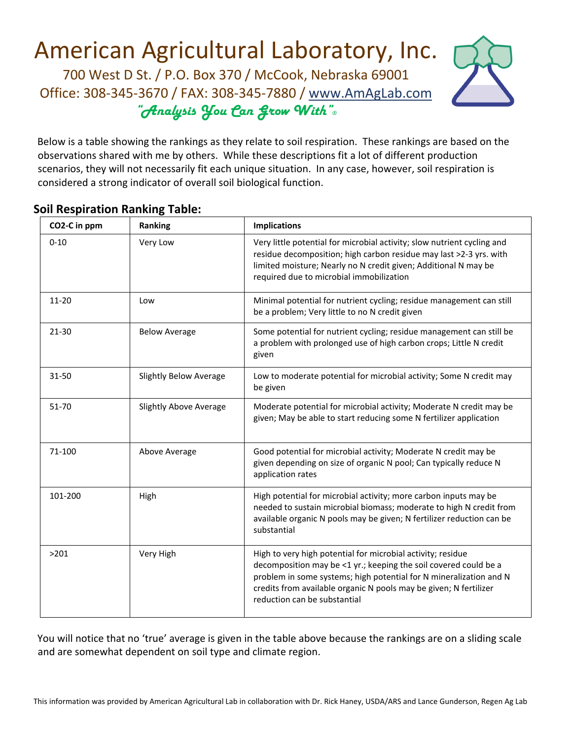

Below is a table showing the rankings as they relate to soil respiration. These rankings are based on the observations shared with me by others. While these descriptions fit a lot of different production scenarios, they will not necessarily fit each unique situation. In any case, however, soil respiration is considered a strong indicator of overall soil biological function.

### **Soil Respiration Ranking Table:**

| CO2-C in ppm | Ranking                       | <b>Implications</b>                                                                                                                                                                                                                                                                                        |  |
|--------------|-------------------------------|------------------------------------------------------------------------------------------------------------------------------------------------------------------------------------------------------------------------------------------------------------------------------------------------------------|--|
| $0 - 10$     | Very Low                      | Very little potential for microbial activity; slow nutrient cycling and<br>residue decomposition; high carbon residue may last >2-3 yrs. with<br>limited moisture; Nearly no N credit given; Additional N may be<br>required due to microbial immobilization                                               |  |
| $11 - 20$    | Low                           | Minimal potential for nutrient cycling; residue management can still<br>be a problem; Very little to no N credit given                                                                                                                                                                                     |  |
| $21 - 30$    | <b>Below Average</b>          | Some potential for nutrient cycling; residue management can still be<br>a problem with prolonged use of high carbon crops; Little N credit<br>given                                                                                                                                                        |  |
| 31-50        | <b>Slightly Below Average</b> | Low to moderate potential for microbial activity; Some N credit may<br>be given                                                                                                                                                                                                                            |  |
| $51 - 70$    | <b>Slightly Above Average</b> | Moderate potential for microbial activity; Moderate N credit may be<br>given; May be able to start reducing some N fertilizer application                                                                                                                                                                  |  |
| 71-100       | Above Average                 | Good potential for microbial activity; Moderate N credit may be<br>given depending on size of organic N pool; Can typically reduce N<br>application rates                                                                                                                                                  |  |
| 101-200      | High                          | High potential for microbial activity; more carbon inputs may be<br>needed to sustain microbial biomass; moderate to high N credit from<br>available organic N pools may be given; N fertilizer reduction can be<br>substantial                                                                            |  |
| >201         | Very High                     | High to very high potential for microbial activity; residue<br>decomposition may be <1 yr.; keeping the soil covered could be a<br>problem in some systems; high potential for N mineralization and N<br>credits from available organic N pools may be given; N fertilizer<br>reduction can be substantial |  |

You will notice that no 'true' average is given in the table above because the rankings are on a sliding scale and are somewhat dependent on soil type and climate region.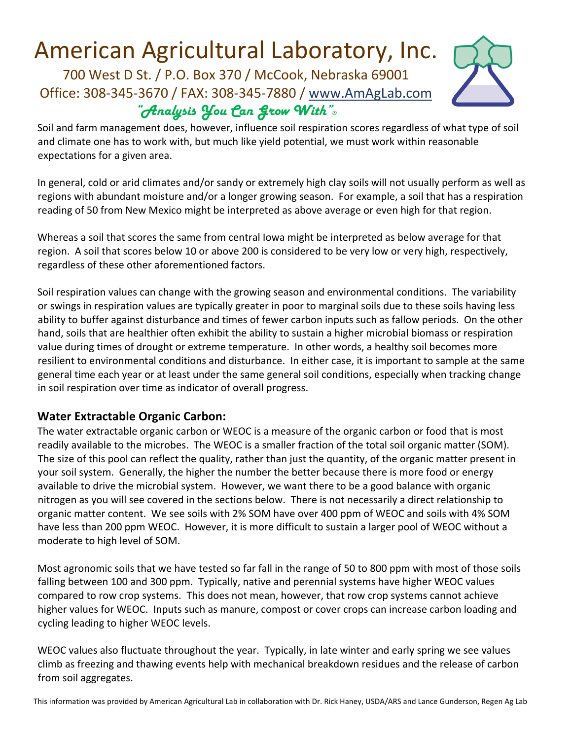

Soil and farm management does, however, influence soil respiration scores regardless of what type of soil and climate one has to work with, but much like yield potential, we must work within reasonable expectations for a given area.

In general, cold or arid climates and/or sandy or extremely high clay soils will not usually perform as well as regions with abundant moisture and/or a longer growing season. For example, a soil that has a respiration reading of 50 from New Mexico might be interpreted as above average or even high for that region.

Whereas a soil that scores the same from central Iowa might be interpreted as below average for that region. A soil that scores below 10 or above 200 is considered to be very low or very high, respectively, regardless of these other aforementioned factors.

Soil respiration values can change with the growing season and environmental conditions. The variability or swings in respiration values are typically greater in poor to marginal soils due to these soils having less ability to buffer against disturbance and times of fewer carbon inputs such as fallow periods. On the other hand, soils that are healthier often exhibit the ability to sustain a higher microbial biomass or respiration value during times of drought or extreme temperature. In other words, a healthy soil becomes more resilient to environmental conditions and disturbance. In either case, it is important to sample at the same general time each year or at least under the same general soil conditions, especially when tracking change in soil respiration over time as indicator of overall progress.

### **Water Extractable Organic Carbon:**

The water extractable organic carbon or WEOC is a measure of the organic carbon or food that is most readily available to the microbes. The WEOC is a smaller fraction of the total soil organic matter (SOM). The size of this pool can reflect the quality, rather than just the quantity, of the organic matter present in your soil system. Generally, the higher the number the better because there is more food or energy available to drive the microbial system. However, we want there to be a good balance with organic nitrogen as you will see covered in the sections below. There is not necessarily a direct relationship to organic matter content. We see soils with 2% SOM have over 400 ppm of WEOC and soils with 4% SOM have less than 200 ppm WEOC. However, it is more difficult to sustain a larger pool of WEOC without a moderate to high level of SOM.

Most agronomic soils that we have tested so far fall in the range of 50 to 800 ppm with most of those soils falling between 100 and 300 ppm. Typically, native and perennial systems have higher WEOC values compared to row crop systems. This does not mean, however, that row crop systems cannot achieve higher values for WEOC. Inputs such as manure, compost or cover crops can increase carbon loading and cycling leading to higher WEOC levels.

WEOC values also fluctuate throughout the year. Typically, in late winter and early spring we see values climb as freezing and thawing events help with mechanical breakdown residues and the release of carbon from soil aggregates.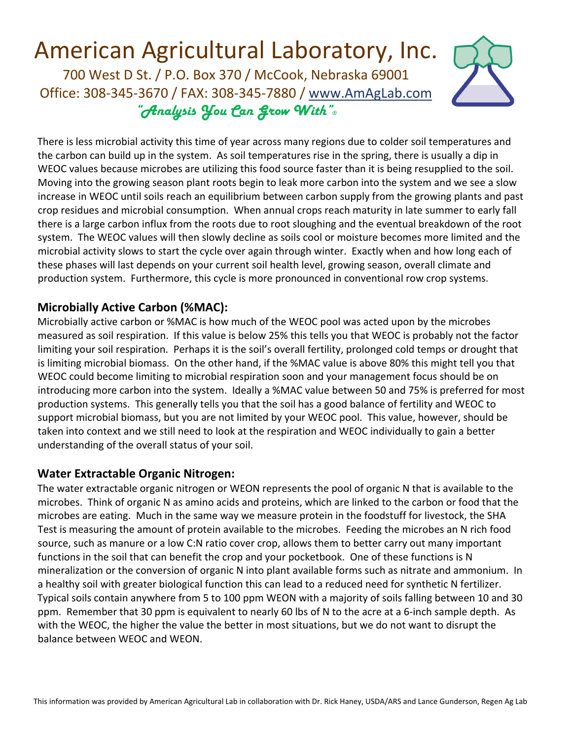

There is less microbial activity this time of year across many regions due to colder soil temperatures and the carbon can build up in the system. As soil temperatures rise in the spring, there is usually a dip in WEOC values because microbes are utilizing this food source faster than it is being resupplied to the soil. Moving into the growing season plant roots begin to leak more carbon into the system and we see a slow increase in WEOC until soils reach an equilibrium between carbon supply from the growing plants and past crop residues and microbial consumption. When annual crops reach maturity in late summer to early fall there is a large carbon influx from the roots due to root sloughing and the eventual breakdown of the root system. The WEOC values will then slowly decline as soils cool or moisture becomes more limited and the microbial activity slows to start the cycle over again through winter. Exactly when and how long each of these phases will last depends on your current soil health level, growing season, overall climate and production system. Furthermore, this cycle is more pronounced in conventional row crop systems.

### **Microbially Active Carbon (%MAC):**

Microbially active carbon or %MAC is how much of the WEOC pool was acted upon by the microbes measured as soil respiration. If this value is below 25% this tells you that WEOC is probably not the factor limiting your soil respiration. Perhaps it is the soil's overall fertility, prolonged cold temps or drought that is limiting microbial biomass. On the other hand, if the %MAC value is above 80% this might tell you that WEOC could become limiting to microbial respiration soon and your management focus should be on introducing more carbon into the system. Ideally a %MAC value between 50 and 75% is preferred for most production systems. This generally tells you that the soil has a good balance of fertility and WEOC to support microbial biomass, but you are not limited by your WEOC pool. This value, however, should be taken into context and we still need to look at the respiration and WEOC individually to gain a better understanding of the overall status of your soil.

### **Water Extractable Organic Nitrogen:**

The water extractable organic nitrogen or WEON represents the pool of organic N that is available to the microbes. Think of organic N as amino acids and proteins, which are linked to the carbon or food that the microbes are eating. Much in the same way we measure protein in the foodstuff for livestock, the SHA Test is measuring the amount of protein available to the microbes. Feeding the microbes an N rich food source, such as manure or a low C:N ratio cover crop, allows them to better carry out many important functions in the soil that can benefit the crop and your pocketbook. One of these functions is N mineralization or the conversion of organic N into plant available forms such as nitrate and ammonium. In a healthy soil with greater biological function this can lead to a reduced need for synthetic N fertilizer. Typical soils contain anywhere from 5 to 100 ppm WEON with a majority of soils falling between 10 and 30 ppm. Remember that 30 ppm is equivalent to nearly 60 lbs of N to the acre at a 6‐inch sample depth. As with the WEOC, the higher the value the better in most situations, but we do not want to disrupt the balance between WEOC and WEON.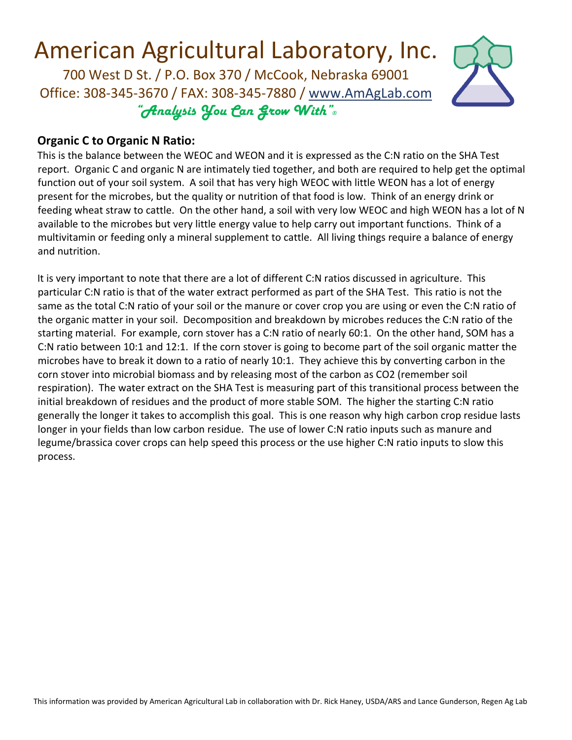

#### **Organic C to Organic N Ratio:**

This is the balance between the WEOC and WEON and it is expressed as the C:N ratio on the SHA Test report. Organic C and organic N are intimately tied together, and both are required to help get the optimal function out of your soil system. A soil that has very high WEOC with little WEON has a lot of energy present for the microbes, but the quality or nutrition of that food is low. Think of an energy drink or feeding wheat straw to cattle. On the other hand, a soil with very low WEOC and high WEON has a lot of N available to the microbes but very little energy value to help carry out important functions. Think of a multivitamin or feeding only a mineral supplement to cattle. All living things require a balance of energy and nutrition.

It is very important to note that there are a lot of different C:N ratios discussed in agriculture. This particular C:N ratio is that of the water extract performed as part of the SHA Test. This ratio is not the same as the total C:N ratio of your soil or the manure or cover crop you are using or even the C:N ratio of the organic matter in your soil. Decomposition and breakdown by microbes reduces the C:N ratio of the starting material. For example, corn stover has a C:N ratio of nearly 60:1. On the other hand, SOM has a C:N ratio between 10:1 and 12:1. If the corn stover is going to become part of the soil organic matter the microbes have to break it down to a ratio of nearly 10:1. They achieve this by converting carbon in the corn stover into microbial biomass and by releasing most of the carbon as CO2 (remember soil respiration). The water extract on the SHA Test is measuring part of this transitional process between the initial breakdown of residues and the product of more stable SOM. The higher the starting C:N ratio generally the longer it takes to accomplish this goal. This is one reason why high carbon crop residue lasts longer in your fields than low carbon residue. The use of lower C:N ratio inputs such as manure and legume/brassica cover crops can help speed this process or the use higher C:N ratio inputs to slow this process.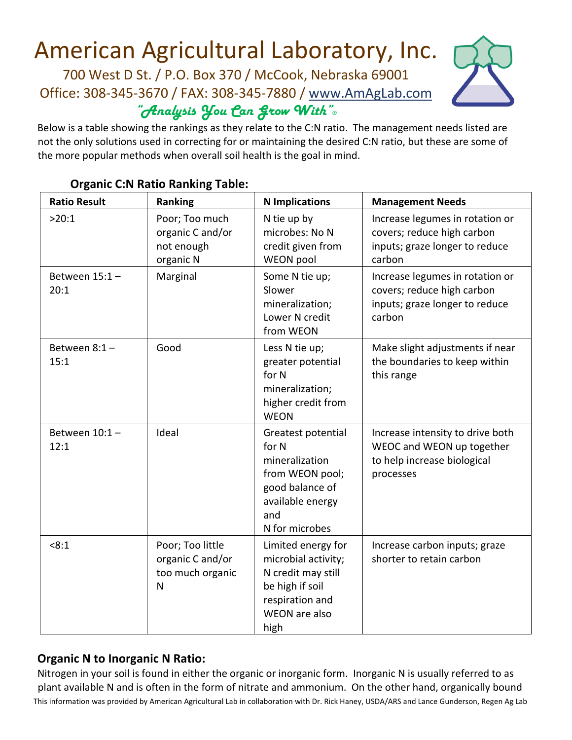

Below is a table showing the rankings as they relate to the C:N ratio. The management needs listed are not the only solutions used in correcting for or maintaining the desired C:N ratio, but these are some of the more popular methods when overall soil health is the goal in mind.

| <b>Ratio Result</b>      | Ranking                                                       | <b>N</b> Implications                                                                                                            | <b>Management Needs</b>                                                                                   |
|--------------------------|---------------------------------------------------------------|----------------------------------------------------------------------------------------------------------------------------------|-----------------------------------------------------------------------------------------------------------|
| >20:1                    | Poor; Too much<br>organic C and/or<br>not enough<br>organic N | N tie up by<br>microbes: No N<br>credit given from<br>WEON pool                                                                  | Increase legumes in rotation or<br>covers; reduce high carbon<br>inputs; graze longer to reduce<br>carbon |
| Between $15:1 -$<br>20:1 | Marginal                                                      | Some N tie up;<br>Slower<br>mineralization;<br>Lower N credit<br>from WEON                                                       | Increase legumes in rotation or<br>covers; reduce high carbon<br>inputs; graze longer to reduce<br>carbon |
| Between $8:1 -$<br>15:1  | Good                                                          | Less N tie up;<br>greater potential<br>for N<br>mineralization;<br>higher credit from<br><b>WEON</b>                             | Make slight adjustments if near<br>the boundaries to keep within<br>this range                            |
| Between $10:1-$<br>12:1  | Ideal                                                         | Greatest potential<br>for N<br>mineralization<br>from WEON pool;<br>good balance of<br>available energy<br>and<br>N for microbes | Increase intensity to drive both<br>WEOC and WEON up together<br>to help increase biological<br>processes |
| < 8:1                    | Poor; Too little<br>organic C and/or<br>too much organic<br>N | Limited energy for<br>microbial activity;<br>N credit may still<br>be high if soil<br>respiration and<br>WEON are also<br>high   | Increase carbon inputs; graze<br>shorter to retain carbon                                                 |

#### **Organic C:N Ratio Ranking Table:**

### **Organic N to Inorganic N Ratio:**

This information was provided by American Agricultural Lab in collaboration with Dr. Rick Haney, USDA/ARS and Lance Gunderson, Regen Ag Lab Nitrogen in your soil is found in either the organic or inorganic form. Inorganic N is usually referred to as plant available N and is often in the form of nitrate and ammonium. On the other hand, organically bound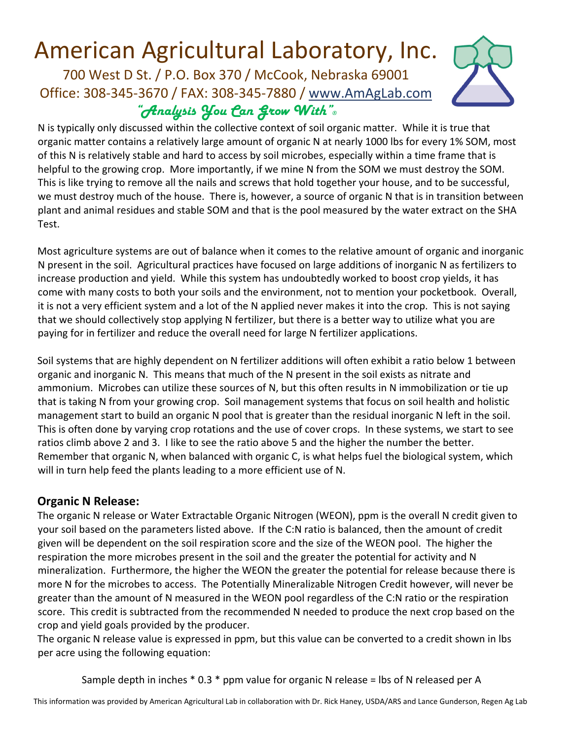

N is typically only discussed within the collective context of soil organic matter. While it is true that organic matter contains a relatively large amount of organic N at nearly 1000 lbs for every 1% SOM, most of this N is relatively stable and hard to access by soil microbes, especially within a time frame that is helpful to the growing crop. More importantly, if we mine N from the SOM we must destroy the SOM. This is like trying to remove all the nails and screws that hold together your house, and to be successful, we must destroy much of the house. There is, however, a source of organic N that is in transition between plant and animal residues and stable SOM and that is the pool measured by the water extract on the SHA Test.

Most agriculture systems are out of balance when it comes to the relative amount of organic and inorganic N present in the soil. Agricultural practices have focused on large additions of inorganic N as fertilizers to increase production and yield. While this system has undoubtedly worked to boost crop yields, it has come with many costs to both your soils and the environment, not to mention your pocketbook. Overall, it is not a very efficient system and a lot of the N applied never makes it into the crop. This is not saying that we should collectively stop applying N fertilizer, but there is a better way to utilize what you are paying for in fertilizer and reduce the overall need for large N fertilizer applications.

Soil systems that are highly dependent on N fertilizer additions will often exhibit a ratio below 1 between organic and inorganic N. This means that much of the N present in the soil exists as nitrate and ammonium. Microbes can utilize these sources of N, but this often results in N immobilization or tie up that is taking N from your growing crop. Soil management systems that focus on soil health and holistic management start to build an organic N pool that is greater than the residual inorganic N left in the soil. This is often done by varying crop rotations and the use of cover crops. In these systems, we start to see ratios climb above 2 and 3. I like to see the ratio above 5 and the higher the number the better. Remember that organic N, when balanced with organic C, is what helps fuel the biological system, which will in turn help feed the plants leading to a more efficient use of N.

### **Organic N Release:**

The organic N release or Water Extractable Organic Nitrogen (WEON), ppm is the overall N credit given to your soil based on the parameters listed above. If the C:N ratio is balanced, then the amount of credit given will be dependent on the soil respiration score and the size of the WEON pool. The higher the respiration the more microbes present in the soil and the greater the potential for activity and N mineralization. Furthermore, the higher the WEON the greater the potential for release because there is more N for the microbes to access. The Potentially Mineralizable Nitrogen Credit however, will never be greater than the amount of N measured in the WEON pool regardless of the C:N ratio or the respiration score. This credit is subtracted from the recommended N needed to produce the next crop based on the crop and yield goals provided by the producer.

The organic N release value is expressed in ppm, but this value can be converted to a credit shown in lbs per acre using the following equation:

Sample depth in inches  $*$  0.3  $*$  ppm value for organic N release = lbs of N released per A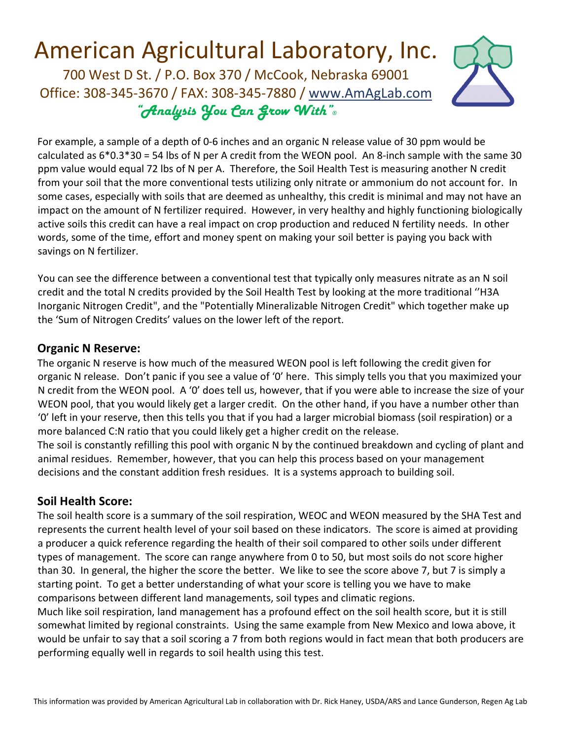

For example, a sample of a depth of 0‐6 inches and an organic N release value of 30 ppm would be calculated as  $6*0.3*30 = 54$  lbs of N per A credit from the WEON pool. An 8-inch sample with the same 30 ppm value would equal 72 lbs of N per A. Therefore, the Soil Health Test is measuring another N credit from your soil that the more conventional tests utilizing only nitrate or ammonium do not account for. In some cases, especially with soils that are deemed as unhealthy, this credit is minimal and may not have an impact on the amount of N fertilizer required. However, in very healthy and highly functioning biologically active soils this credit can have a real impact on crop production and reduced N fertility needs. In other words, some of the time, effort and money spent on making your soil better is paying you back with savings on N fertilizer.

You can see the difference between a conventional test that typically only measures nitrate as an N soil credit and the total N credits provided by the Soil Health Test by looking at the more traditional ''H3A Inorganic Nitrogen Credit", and the "Potentially Mineralizable Nitrogen Credit" which together make up the 'Sum of Nitrogen Credits' values on the lower left of the report.

### **Organic N Reserve:**

The organic N reserve is how much of the measured WEON pool is left following the credit given for organic N release. Don't panic if you see a value of '0' here. This simply tells you that you maximized your N credit from the WEON pool. A '0' does tell us, however, that if you were able to increase the size of your WEON pool, that you would likely get a larger credit. On the other hand, if you have a number other than '0' left in your reserve, then this tells you that if you had a larger microbial biomass (soil respiration) or a more balanced C:N ratio that you could likely get a higher credit on the release. The soil is constantly refilling this pool with organic N by the continued breakdown and cycling of plant and animal residues. Remember, however, that you can help this process based on your management

decisions and the constant addition fresh residues. It is a systems approach to building soil.

### **Soil Health Score:**

The soil health score is a summary of the soil respiration, WEOC and WEON measured by the SHA Test and represents the current health level of your soil based on these indicators. The score is aimed at providing a producer a quick reference regarding the health of their soil compared to other soils under different types of management. The score can range anywhere from 0 to 50, but most soils do not score higher than 30. In general, the higher the score the better. We like to see the score above 7, but 7 is simply a starting point. To get a better understanding of what your score is telling you we have to make comparisons between different land managements, soil types and climatic regions.

Much like soil respiration, land management has a profound effect on the soil health score, but it is still somewhat limited by regional constraints. Using the same example from New Mexico and Iowa above, it would be unfair to say that a soil scoring a 7 from both regions would in fact mean that both producers are performing equally well in regards to soil health using this test.